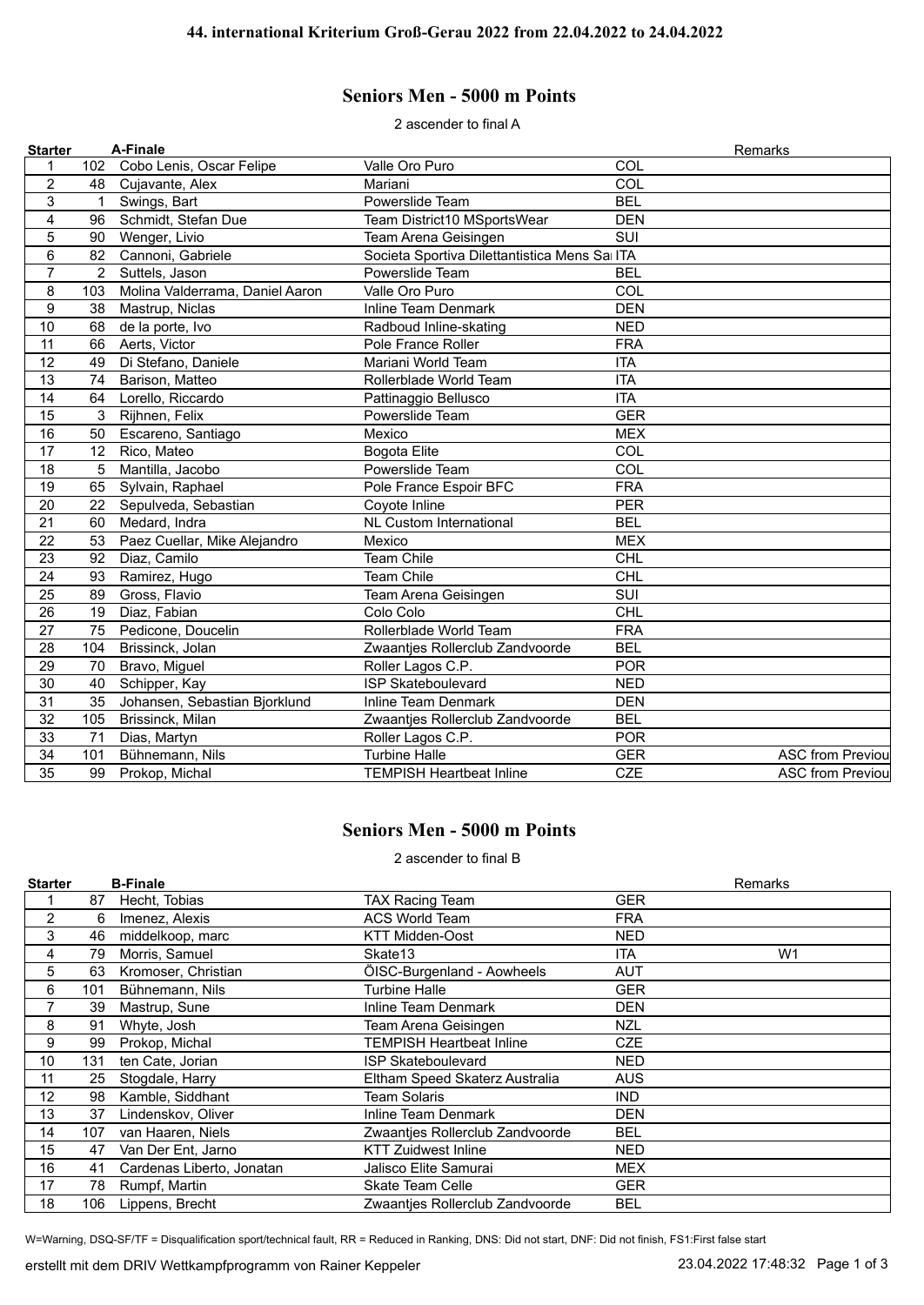## **Seniors Men - 5000 m Points**

2 ascender to final A

| <b>Starter</b>  |             | A-Finale                        |                                              |            | Remarks                 |
|-----------------|-------------|---------------------------------|----------------------------------------------|------------|-------------------------|
| 1               | 102         | Cobo Lenis, Oscar Felipe        | Valle Oro Puro                               | COL        |                         |
| $\overline{c}$  | 48          | Cujavante, Alex                 | Mariani                                      | COL        |                         |
| 3               | $\mathbf 1$ | Swings, Bart                    | Powerslide Team                              | <b>BEL</b> |                         |
| $\overline{4}$  | 96          | Schmidt, Stefan Due             | Team District10 MSportsWear                  | <b>DEN</b> |                         |
| 5               | 90          | Wenger, Livio                   | Team Arena Geisingen                         | SUI        |                         |
| $6\phantom{1}6$ | 82          | Cannoni, Gabriele               | Societa Sportiva Dilettantistica Mens Sa ITA |            |                         |
| $\overline{7}$  | 2           | Suttels, Jason                  | Powerslide Team                              | <b>BEL</b> |                         |
| 8               | 103         | Molina Valderrama, Daniel Aaron | Valle Oro Puro                               | COL        |                         |
| 9               | 38          | Mastrup, Niclas                 | <b>Inline Team Denmark</b>                   | <b>DEN</b> |                         |
| 10              | 68          | de la porte, Ivo                | Radboud Inline-skating                       | <b>NED</b> |                         |
| 11              | 66          | Aerts, Victor                   | Pole France Roller                           | <b>FRA</b> |                         |
| 12              | 49          | Di Stefano, Daniele             | Mariani World Team                           | <b>ITA</b> |                         |
| 13              | 74          | Barison, Matteo                 | Rollerblade World Team                       | <b>ITA</b> |                         |
| 14              | 64          | Lorello, Riccardo               | Pattinaggio Bellusco                         | <b>ITA</b> |                         |
| 15              | 3           | Rijhnen, Felix                  | Powerslide Team                              | <b>GER</b> |                         |
| 16              | 50          | Escareno, Santiago              | Mexico                                       | <b>MEX</b> |                         |
| 17              | 12          | Rico, Mateo                     | <b>Bogota Elite</b>                          | COL        |                         |
| 18              | 5           | Mantilla, Jacobo                | Powerslide Team                              | COL        |                         |
| 19              | 65          | Sylvain, Raphael                | Pole France Espoir BFC                       | <b>FRA</b> |                         |
| 20              | 22          | Sepulveda, Sebastian            | Coyote Inline                                | <b>PER</b> |                         |
| 21              | 60          | Medard, Indra                   | <b>NL Custom International</b>               | <b>BEL</b> |                         |
| 22              | 53          | Paez Cuellar, Mike Alejandro    | Mexico                                       | <b>MEX</b> |                         |
| 23              | 92          | Diaz, Camilo                    | <b>Team Chile</b>                            | <b>CHL</b> |                         |
| 24              | 93          | Ramirez, Hugo                   | Team Chile                                   | <b>CHL</b> |                         |
| 25              | 89          | Gross, Flavio                   | Team Arena Geisingen                         | SUI        |                         |
| 26              | 19          | Diaz, Fabian                    | Colo Colo                                    | <b>CHL</b> |                         |
| 27              | 75          | Pedicone, Doucelin              | Rollerblade World Team                       | <b>FRA</b> |                         |
| 28              | 104         | Brissinck, Jolan                | Zwaantjes Rollerclub Zandvoorde              | <b>BEL</b> |                         |
| 29              | 70          | Bravo, Miguel                   | Roller Lagos C.P.                            | <b>POR</b> |                         |
| 30              | 40          | Schipper, Kay                   | <b>ISP Skateboulevard</b>                    | <b>NED</b> |                         |
| 31              | 35          | Johansen, Sebastian Bjorklund   | Inline Team Denmark                          | <b>DEN</b> |                         |
| 32              | 105         | Brissinck, Milan                | Zwaantjes Rollerclub Zandvoorde              | <b>BEL</b> |                         |
| 33              | 71          | Dias, Martyn                    | Roller Lagos C.P.                            | <b>POR</b> |                         |
| 34              | 101         | Bühnemann, Nils                 | <b>Turbine Halle</b>                         | <b>GER</b> | <b>ASC from Previou</b> |
| 35              | 99          | Prokop, Michal                  | <b>TEMPISH Heartbeat Inline</b>              | <b>CZE</b> | <b>ASC from Previou</b> |
|                 |             |                                 |                                              |            |                         |

## **Seniors Men - 5000 m Points**

2 ascender to final B

| <b>Starter</b> |     | <b>B-Finale</b>           |                                 |            | <b>Remarks</b> |
|----------------|-----|---------------------------|---------------------------------|------------|----------------|
|                | 87  | Hecht, Tobias             | <b>TAX Racing Team</b>          | GER        |                |
| $\overline{2}$ | 6   | Imenez, Alexis            | <b>ACS World Team</b>           | <b>FRA</b> |                |
| 3              | 46  | middelkoop, marc          | <b>KTT Midden-Oost</b>          | NED        |                |
| 4              | 79  | Morris, Samuel            | Skate13                         | <b>ITA</b> | W <sub>1</sub> |
| 5              | 63  | Kromoser, Christian       | ÖISC-Burgenland - Aowheels      | AUT        |                |
| 6              | 101 | Bühnemann, Nils           | <b>Turbine Halle</b>            | <b>GER</b> |                |
| 7              | 39  | Mastrup, Sune             | Inline Team Denmark             | DEN        |                |
| 8              | 91  | Whyte, Josh               | Team Arena Geisingen            | NZL        |                |
| 9              | 99  | Prokop, Michal            | TEMPISH Heartbeat Inline        | <b>CZE</b> |                |
| 10             | 131 | ten Cate, Jorian          | ISP Skateboulevard              | NED        |                |
| 11             | 25  | Stogdale, Harry           | Eltham Speed Skaterz Australia  | AUS        |                |
| 12             | 98  | Kamble, Siddhant          | Team Solaris                    | <b>IND</b> |                |
| 13             | 37  | Lindenskov, Oliver        | Inline Team Denmark             | DEN        |                |
| 14             | 107 | van Haaren, Niels         | Zwaanties Rollerclub Zandvoorde | <b>BEL</b> |                |
| 15             | 47  | Van Der Ent, Jarno        | <b>KTT Zuidwest Inline</b>      | NED        |                |
| 16             | 41  | Cardenas Liberto, Jonatan | Jalisco Elite Samurai           | <b>MEX</b> |                |
| 17             | 78  | Rumpf, Martin             | <b>Skate Team Celle</b>         | <b>GER</b> |                |
| 18             | 106 | Lippens, Brecht           | Zwaantjes Rollerclub Zandvoorde | BEL        |                |

W=Warning, DSQ-SF/TF = Disqualification sport/technical fault, RR = Reduced in Ranking, DNS: Did not start, DNF: Did not finish, FS1:First false start